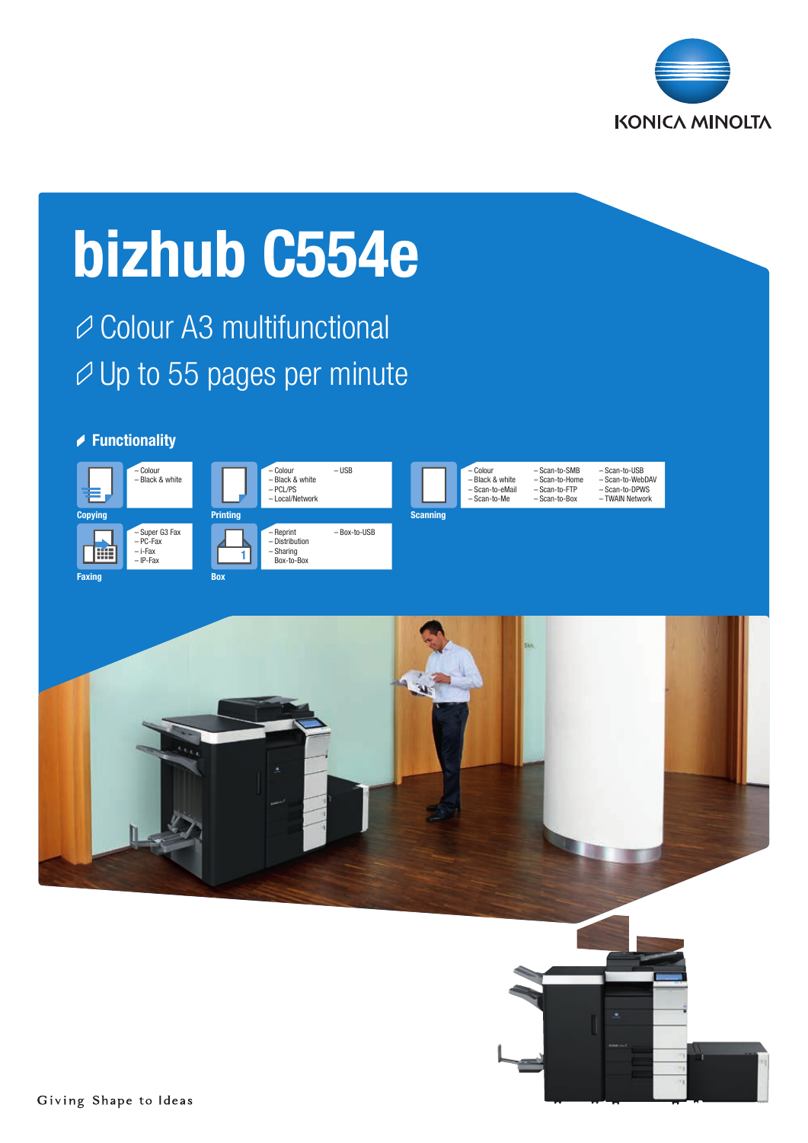

# bizhub C554e

**⊘ Colour A3 multifunctional**  $\varnothing$  Up to 55 pages per minute

## **▶ Functionality**





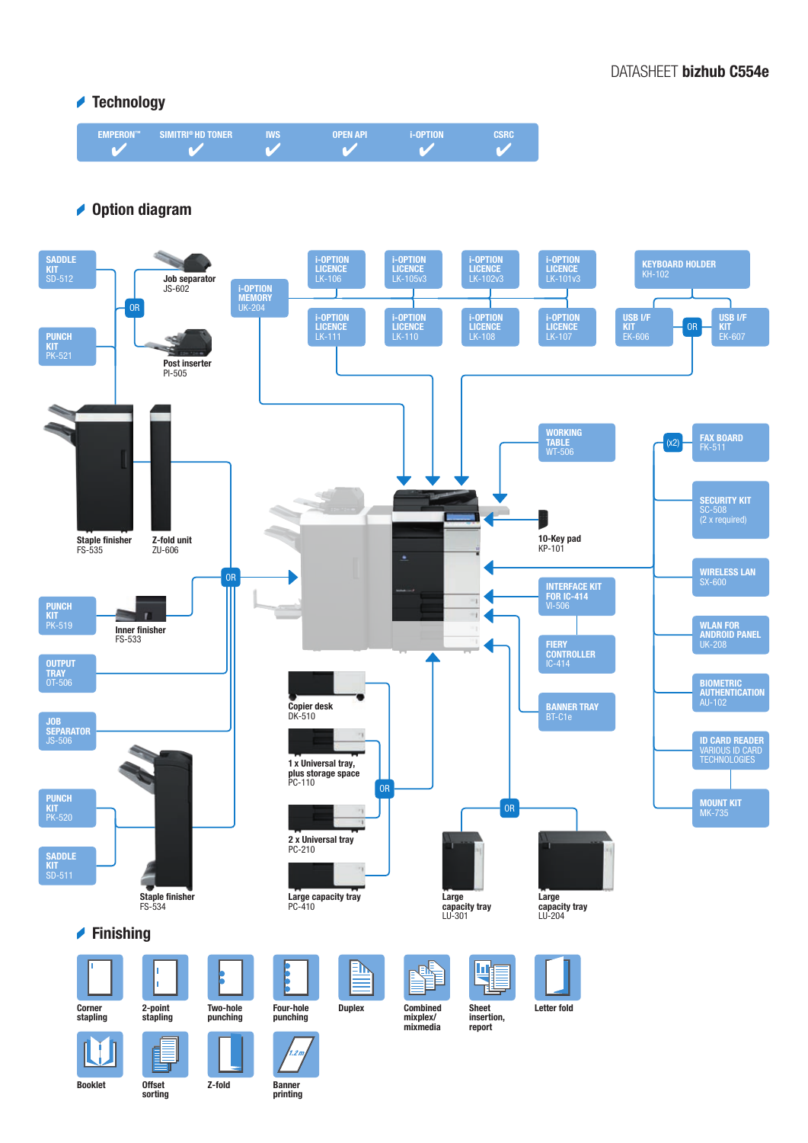## DATASHEET bizhub C554e

## **★ Technology**



## **◆ Option diagram**



Booklet Offset

sorting

Banner printing

Z-fold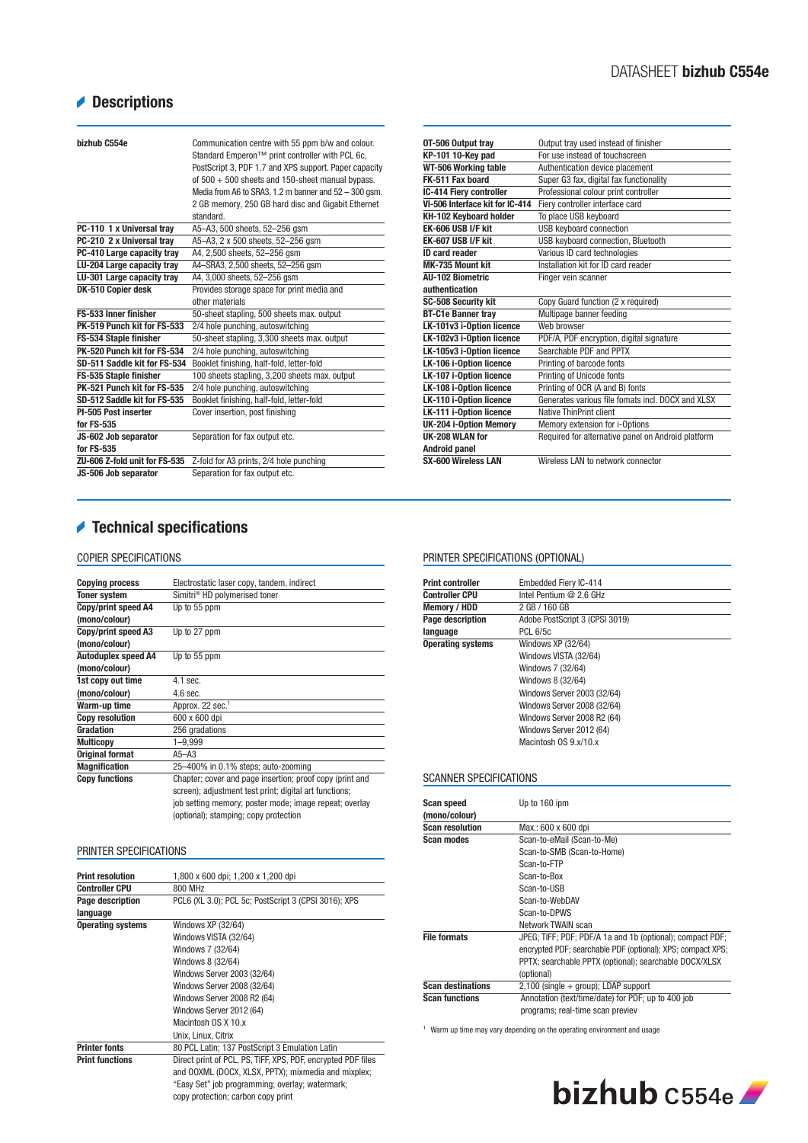## Descriptions

| bizhub C554e                  | Communication centre with 55 ppm b/w and colour.<br>Standard Emperon™ print controller with PCL 6c,<br>PostScript 3, PDF 1.7 and XPS support. Paper capacity<br>of $500 + 500$ sheets and 150-sheet manual bypass.<br>Media from A6 to SRA3, 1.2 m banner and 52 - 300 gsm.<br>2 GB memory, 250 GB hard disc and Gigabit Ethernet<br>standard. |
|-------------------------------|------------------------------------------------------------------------------------------------------------------------------------------------------------------------------------------------------------------------------------------------------------------------------------------------------------------------------------------------|
| PC-110 1 x Universal tray     | A5-A3, 500 sheets, 52-256 qsm                                                                                                                                                                                                                                                                                                                  |
| PC-210 2 x Universal tray     | A5-A3, 2 x 500 sheets, 52-256 gsm                                                                                                                                                                                                                                                                                                              |
| PC-410 Large capacity tray    | A4, 2,500 sheets, 52-256 gsm                                                                                                                                                                                                                                                                                                                   |
| LU-204 Large capacity tray    | A4-SRA3, 2,500 sheets, 52-256 qsm                                                                                                                                                                                                                                                                                                              |
| LU-301 Large capacity tray    | A4, 3,000 sheets, 52-256 gsm                                                                                                                                                                                                                                                                                                                   |
| DK-510 Copier desk            | Provides storage space for print media and                                                                                                                                                                                                                                                                                                     |
|                               | other materials                                                                                                                                                                                                                                                                                                                                |
| FS-533 Inner finisher         | 50-sheet stapling, 500 sheets max. output                                                                                                                                                                                                                                                                                                      |
| PK-519 Punch kit for FS-533   | 2/4 hole punching, autoswitching                                                                                                                                                                                                                                                                                                               |
| <b>FS-534 Staple finisher</b> | 50-sheet stapling, 3,300 sheets max. output                                                                                                                                                                                                                                                                                                    |
| PK-520 Punch kit for FS-534   | 2/4 hole punching, autoswitching                                                                                                                                                                                                                                                                                                               |
| SD-511 Saddle kit for FS-534  | Booklet finishing, half-fold, letter-fold                                                                                                                                                                                                                                                                                                      |
| FS-535 Staple finisher        | 100 sheets stapling, 3,200 sheets max. output                                                                                                                                                                                                                                                                                                  |
| PK-521 Punch kit for FS-535   | 2/4 hole punching, autoswitching                                                                                                                                                                                                                                                                                                               |
| SD-512 Saddle kit for FS-535  | Booklet finishing, half-fold, letter-fold                                                                                                                                                                                                                                                                                                      |
| PI-505 Post inserter          | Cover insertion, post finishing                                                                                                                                                                                                                                                                                                                |
| for FS-535                    |                                                                                                                                                                                                                                                                                                                                                |
| JS-602 Job separator          | Separation for fax output etc.                                                                                                                                                                                                                                                                                                                 |
| for FS-535                    |                                                                                                                                                                                                                                                                                                                                                |
| ZU-606 Z-fold unit for FS-535 | Z-fold for A3 prints, 2/4 hole punching                                                                                                                                                                                                                                                                                                        |
| JS-506 Job separator          | Separation for fax output etc.                                                                                                                                                                                                                                                                                                                 |

## Technical specifications

#### COPIER SPECIFICATIONS

| <b>Copying process</b>     | Electrostatic laser copy, tandem, indirect               |
|----------------------------|----------------------------------------------------------|
| <b>Toner system</b>        | Simitri <sup>®</sup> HD polymerised toner                |
| Copy/print speed A4        | Up to 55 ppm                                             |
| (mono/colour)              |                                                          |
| Copy/print speed A3        | Up to 27 ppm                                             |
| (mono/colour)              |                                                          |
| <b>Autoduplex speed A4</b> | Up to 55 ppm                                             |
| (mono/colour)              |                                                          |
| 1st copy out time          | $4.1$ sec.                                               |
| (mono/colour)              | $4.6$ sec.                                               |
| Warm-up time               | Approx. 22 sec. <sup>1</sup>                             |
| <b>Copy resolution</b>     | 600 x 600 dpi                                            |
| Gradation                  | 256 gradations                                           |
| <b>Multicopy</b>           | $1 - 9,999$                                              |
| <b>Original format</b>     | $A5 - A3$                                                |
| <b>Magnification</b>       | 25-400% in 0.1% steps; auto-zooming                      |
| <b>Copy functions</b>      | Chapter; cover and page insertion; proof copy (print and |
|                            | screen); adjustment test print; digital art functions;   |
|                            | job setting memory; poster mode; image repeat; overlay   |
|                            | (optional); stamping; copy protection                    |

#### PRINTER SPECIFICATIONS

| <b>Print resolution</b>  | 1,800 x 600 dpi; 1,200 x 1,200 dpi                           |
|--------------------------|--------------------------------------------------------------|
|                          |                                                              |
| <b>Controller CPU</b>    | 800 MHz                                                      |
| Page description         | PCL6 (XL 3.0); PCL 5c; PostScript 3 (CPSI 3016); XPS         |
| language                 |                                                              |
| <b>Operating systems</b> | Windows XP (32/64)                                           |
|                          | Windows VISTA (32/64)                                        |
|                          | Windows 7 (32/64)                                            |
|                          | Windows 8 (32/64)                                            |
|                          | Windows Server 2003 (32/64)                                  |
|                          | Windows Server 2008 (32/64)                                  |
|                          | Windows Server 2008 R2 (64)                                  |
|                          | Windows Server 2012 (64)                                     |
|                          | Macintosh OS X 10.x                                          |
|                          | Unix, Linux, Citrix                                          |
| <b>Printer fonts</b>     | 80 PCL Latin; 137 PostScript 3 Emulation Latin               |
| <b>Print functions</b>   | Direct print of PCL, PS, TIFF, XPS, PDF, encrypted PDF files |
|                          | and OOXML (DOCX, XLSX, PPTX); mixmedia and mixplex;          |
|                          | "Easy Set" job programming; overlay; watermark;              |
|                          | copy protection; carbon copy print                           |

| OT-506 Output tray              | Output tray used instead of finisher               |
|---------------------------------|----------------------------------------------------|
| KP-101 10-Key pad               | For use instead of touchscreen                     |
| WT-506 Working table            | Authentication device placement                    |
| FK-511 Fax board                | Super G3 fax, digital fax functionality            |
| IC-414 Fiery controller         | Professional colour print controller               |
| VI-506 Interface kit for IC-414 | Fiery controller interface card                    |
| KH-102 Keyboard holder          | To place USB keyboard                              |
| <b>EK-606 USB I/F kit</b>       | <b>USB keyboard connection</b>                     |
| <b>EK-607 USB I/F kit</b>       | USB keyboard connection, Bluetooth                 |
| <b>ID card reader</b>           | Various ID card technologies                       |
| MK-735 Mount kit                | Installation kit for ID card reader                |
| All-102 Biometric               | Finger vein scanner                                |
| authentication                  |                                                    |
| SC-508 Security kit             | Copy Guard function (2 x required)                 |
| <b>BT-C1e Banner tray</b>       | Multipage banner feeding                           |
| LK-101v3 i-Option licence       | Web browser                                        |
| LK-102v3 i-Option licence       | PDF/A, PDF encryption, digital signature           |
| LK-105v3 i-Option licence       | Searchable PDF and PPTX                            |
| LK-106 i-Option licence         | Printing of barcode fonts                          |
| LK-107 i-Option licence         | Printing of Unicode fonts                          |
| <b>LK-108 i-Option licence</b>  | Printing of OCR (A and B) fonts                    |
| LK-110 i-Option licence         | Generates various file fomats incl. DOCX and XLSX  |
| LK-111 i-Option licence         | Native ThinPrint client                            |
| UK-204 i-Option Memory          | Memory extension for i-Options                     |
| UK-208 WLAN for                 | Required for alternative panel on Android platform |
| <b>Android panel</b>            |                                                    |
| SX-600 Wireless LAN             | Wireless LAN to network connector                  |

#### PRINTER SPECIFICATIONS (OPTIONAL)

| <b>Print controller</b>  | Embedded Fiery IC-414          |
|--------------------------|--------------------------------|
| <b>Controller CPU</b>    | Intel Pentium @ 2.6 GHz        |
| Memory / HDD             | 2 GB / 160 GB                  |
| Page description         | Adobe PostScript 3 (CPSI 3019) |
| language                 | <b>PCL 6/5c</b>                |
| <b>Operating systems</b> | Windows XP (32/64)             |
|                          | Windows VISTA (32/64)          |
|                          | Windows 7 (32/64)              |
|                          | Windows 8 (32/64)              |
|                          | Windows Server 2003 (32/64)    |
|                          | Windows Server 2008 (32/64)    |
|                          | Windows Server 2008 R2 (64)    |
|                          | Windows Server 2012 (64)       |
|                          | Macintosh OS 9.x/10.x          |

#### SCANNER SPECIFICATIONS

| <b>Scan speed</b><br>(mono/colour) | Up to 160 ipm                                               |
|------------------------------------|-------------------------------------------------------------|
| <b>Scan resolution</b>             | Max.: 600 x 600 dpi                                         |
| <b>Scan modes</b>                  | Scan-to-eMail (Scan-to-Me)                                  |
|                                    | Scan-to-SMB (Scan-to-Home)                                  |
|                                    | Scan-to-FTP                                                 |
|                                    | Scan-to-Box                                                 |
|                                    | Scan-to-USB                                                 |
|                                    | Scan-to-WebDAV                                              |
|                                    | Scan-to-DPWS                                                |
|                                    | Network TWAIN scan                                          |
| <b>File formats</b>                | JPEG; TIFF; PDF; PDF/A 1a and 1b (optional); compact PDF;   |
|                                    | encrypted PDF; searchable PDF (optional); XPS; compact XPS; |
|                                    | PPTX; searchable PPTX (optional); searchable DOCX/XLSX      |
|                                    | (optional)                                                  |
| <b>Scan destinations</b>           | $2,100$ (single + group); LDAP support                      |
| <b>Scan functions</b>              | Annotation (text/time/date) for PDF; up to 400 job          |
|                                    | programs; real-time scan previev                            |

 $^{\rm 1}$  Warm up time may vary depending on the operating environment and usage